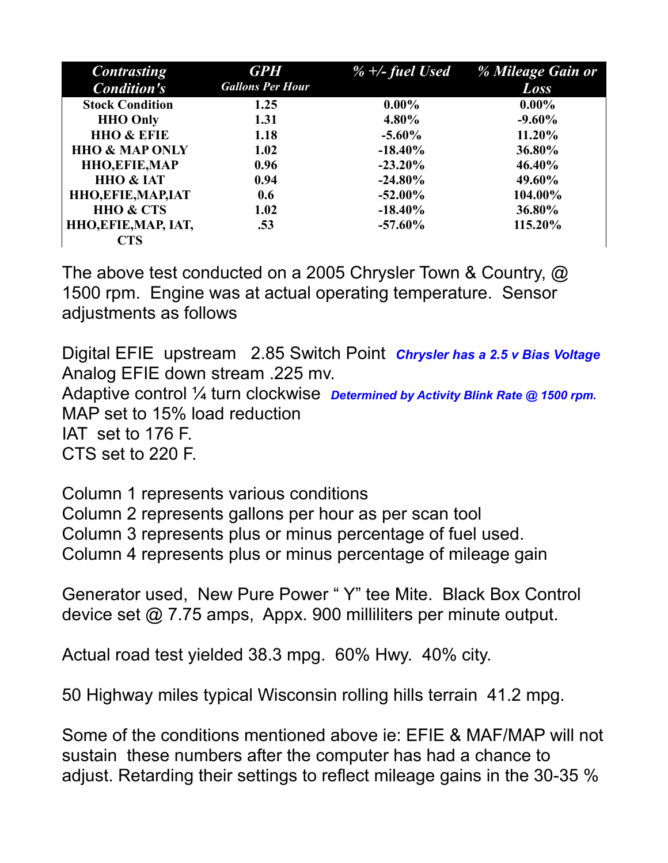| <b>Contrasting</b>         | <b>GPH</b>              | $\%$ +/- fuel Used | % Mileage Gain or |
|----------------------------|-------------------------|--------------------|-------------------|
| <b>Condition's</b>         | <b>Gallons Per Hour</b> |                    | <b>Loss</b>       |
| <b>Stock Condition</b>     | 1.25                    | $0.00\%$           | $0.00\%$          |
| <b>HHO Only</b>            | 1.31                    | $4.80\%$           | $-9.60\%$         |
| <b>HHO &amp; EFIE</b>      | 1.18                    | $-5.60\%$          | 11.20%            |
| <b>HHO &amp; MAP ONLY</b>  | 1.02                    | $-18.40\%$         | 36.80%            |
| <b>HHO, EFIE, MAP</b>      | 0.96                    | $-23.20\%$         | 46.40%            |
| <b>HHO &amp; IAT</b>       | 0.94                    | $-24.80\%$         | 49.60%            |
| <b>HHO, EFIE, MAP, IAT</b> | 0.6                     | $-52.00\%$         | 104.00%           |
| <b>HHO &amp; CTS</b>       | 1.02                    | $-18.40\%$         | 36.80%            |
| HHO, EFIE, MAP, IAT,       | .53                     | $-57.60\%$         | 115.20%           |
| <b>CTS</b>                 |                         |                    |                   |

The above test conducted on a 2005 Chrysler Town & Country, @ 1500 rpm. Engine was at actual operating temperature. Sensor adjustments as follows

Digital EFIE upstream 2.85 Switch Point *Chrysler has a 2.5 v Bias Voltage* Analog EFIE down stream .225 mv. Adaptive control ¼ turn clockwise *Determined by Activity Blink Rate @ 1500 rpm.* MAP set to 15% load reduction IAT set to 176 F. CTS set to 220 F.

Column 1 represents various conditions Column 2 represents gallons per hour as per scan tool Column 3 represents plus or minus percentage of fuel used. Column 4 represents plus or minus percentage of mileage gain

Generator used, New Pure Power " Y" tee Mite. Black Box Control device set @ 7.75 amps, Appx. 900 milliliters per minute output.

Actual road test yielded 38.3 mpg. 60% Hwy. 40% city.

50 Highway miles typical Wisconsin rolling hills terrain 41.2 mpg.

Some of the conditions mentioned above ie: EFIE & MAF/MAP will not sustain these numbers after the computer has had a chance to adjust. Retarding their settings to reflect mileage gains in the 30-35 %